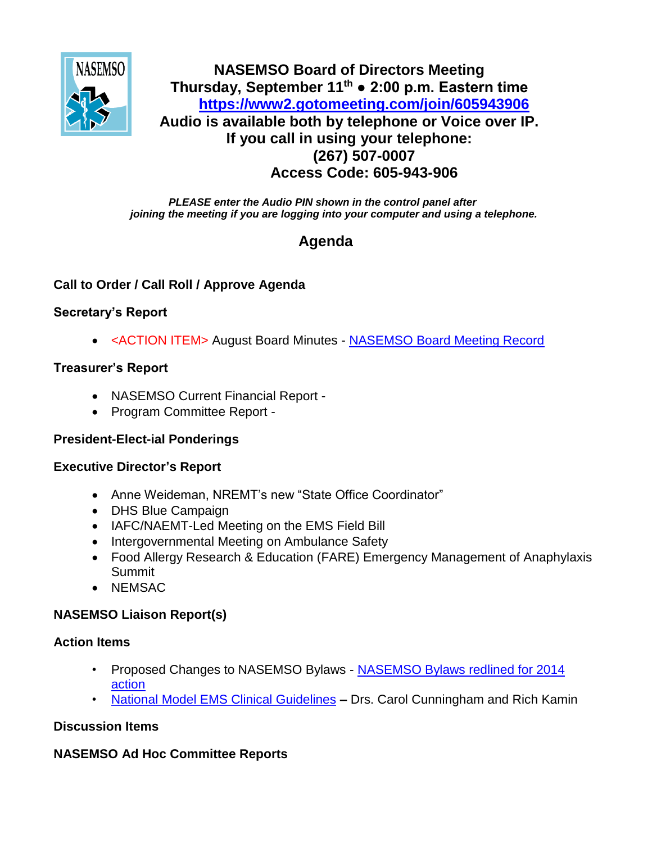

## **NASEMSO Board of Directors Meeting Thursday, September 11th ● 2:00 p.m. Eastern time <https://www2.gotomeeting.com/join/605943906> Audio is available both by telephone or Voice over IP. If you call in using your telephone: (267) 507-0007 Access Code: 605-943-906**

*PLEASE enter the Audio PIN shown in the control panel after joining the meeting if you are logging into your computer and using a telephone.*

# **Agenda**

## **Call to Order / Call Roll / Approve Agenda**

## **Secretary's Report**

• <ACTION ITEM> August Board Minutes - [NASEMSO Board Meeting Record](https://www.nasemso.org/Members/Board/documents/NASEMSO-Board-Minutes-14Aug2014.docx)

## **Treasurer's Report**

- NASEMSO Current Financial Report -
- Program Committee Report -

## **President-Elect-ial Ponderings**

#### **Executive Director's Report**

- Anne Weideman, NREMT's new "State Office Coordinator"
- DHS Blue Campaign
- IAFC/NAEMT-Led Meeting on the EMS Field Bill
- Intergovernmental Meeting on Ambulance Safety
- Food Allergy Research & Education (FARE) Emergency Management of Anaphylaxis Summit
- NEMSAC

## **NASEMSO Liaison Report(s)**

#### **Action Items**

- Proposed Changes to NASEMSO Bylaws [NASEMSO Bylaws redlined for 2014](https://www.nasemso.org/Members/Board/documents/NASEMSO-Bylaws-Redlined-for-2014-action.docx)  [action](https://www.nasemso.org/Members/Board/documents/NASEMSO-Bylaws-Redlined-for-2014-action.docx)
- [National Model EMS Clinical Guidelines](https://www.nasemso.org/Members/Board/documents/Draft-Model-EMS-Clinical-Guidelines-08Sept2014.pdf) **–** Drs. Carol Cunningham and Rich Kamin

## **Discussion Items**

## **NASEMSO Ad Hoc Committee Reports**